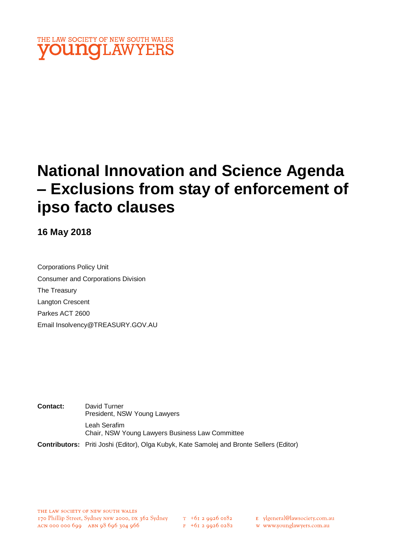

# **National Innovation and Science Agenda – Exclusions from stay of enforcement of ipso facto clauses**

**16 May 2018**

Corporations Policy Unit Consumer and Corporations Division The Treasury Langton Crescent Parkes ACT 2600 Email Insolvency@TREASURY.GOV.AU

**Contact:** David Turner President, NSW Young Lawyers Leah Serafim Chair, NSW Young Lawyers Business Law Committee

**Contributors:** Priti Joshi (Editor), Olga Kubyk, Kate Samolej and Bronte Sellers (Editor)

E ylgeneral@lawsociety.com.au

w www.younglawyers.com.au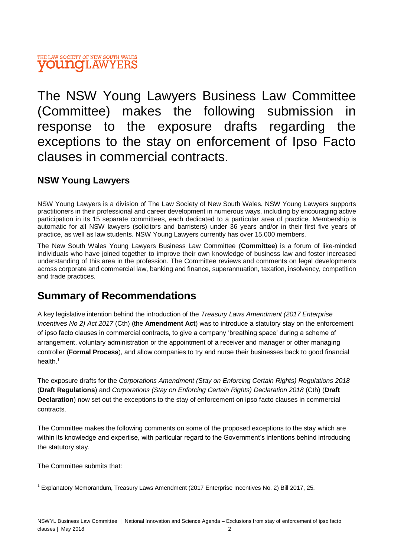#### THE LAW SOCIETY OF NEW SOUTH WALES **VOUNGLAWYERS**

The NSW Young Lawyers Business Law Committee (Committee) makes the following submission in response to the exposure drafts regarding the exceptions to the stay on enforcement of Ipso Facto clauses in commercial contracts.

## **NSW Young Lawyers**

NSW Young Lawyers is a division of The Law Society of New South Wales. NSW Young Lawyers supports practitioners in their professional and career development in numerous ways, including by encouraging active participation in its 15 separate committees, each dedicated to a particular area of practice. Membership is automatic for all NSW lawyers (solicitors and barristers) under 36 years and/or in their first five years of practice, as well as law students. NSW Young Lawyers currently has over 15,000 members.

The New South Wales Young Lawyers Business Law Committee (**Committee**) is a forum of like-minded individuals who have joined together to improve their own knowledge of business law and foster increased understanding of this area in the profession. The Committee reviews and comments on legal developments across corporate and commercial law, banking and finance, superannuation, taxation, insolvency, competition and trade practices.

# **Summary of Recommendations**

A key legislative intention behind the introduction of the *Treasury Laws Amendment (2017 Enterprise Incentives No 2) Act 2017* (Cth) (the **Amendment Act**) was to introduce a statutory stay on the enforcement of ipso facto clauses in commercial contracts, to give a company 'breathing space' during a scheme of arrangement, voluntary administration or the appointment of a receiver and manager or other managing controller (**Formal Process**), and allow companies to try and nurse their businesses back to good financial health.<sup>1</sup>

The exposure drafts for the *Corporations Amendment (Stay on Enforcing Certain Rights) Regulations 2018* (**Draft Regulations**) and *Corporations (Stay on Enforcing Certain Rights) Declaration 2018* (Cth) (**Draft Declaration**) now set out the exceptions to the stay of enforcement on ipso facto clauses in commercial contracts.

The Committee makes the following comments on some of the proposed exceptions to the stay which are within its knowledge and expertise, with particular regard to the Government's intentions behind introducing the statutory stay.

The Committee submits that:

l

 $1$  Explanatory Memorandum, Treasury Laws Amendment (2017 Enterprise Incentives No. 2) Bill 2017, 25.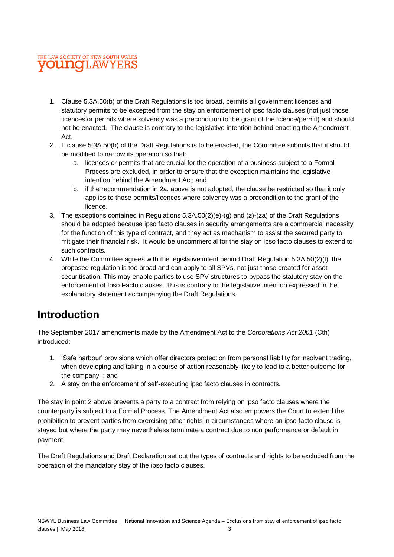

- 1. Clause 5.3A.50(b) of the Draft Regulations is too broad, permits all government licences and statutory permits to be excepted from the stay on enforcement of ipso facto clauses (not just those licences or permits where solvency was a precondition to the grant of the licence/permit) and should not be enacted. The clause is contrary to the legislative intention behind enacting the Amendment Act.
- 2. If clause 5.3A.50(b) of the Draft Regulations is to be enacted, the Committee submits that it should be modified to narrow its operation so that:
	- a. licences or permits that are crucial for the operation of a business subject to a Formal Process are excluded, in order to ensure that the exception maintains the legislative intention behind the Amendment Act; and
	- b. if the recommendation in 2a. above is not adopted, the clause be restricted so that it only applies to those permits/licences where solvency was a precondition to the grant of the licence.
- 3. The exceptions contained in Regulations 5.3A.50(2)(e)-(g) and (z)-(za) of the Draft Regulations should be adopted because ipso facto clauses in security arrangements are a commercial necessity for the function of this type of contract, and they act as mechanism to assist the secured party to mitigate their financial risk. It would be uncommercial for the stay on ipso facto clauses to extend to such contracts.
- 4. While the Committee agrees with the legislative intent behind Draft Regulation 5.3A.50(2)(l), the proposed regulation is too broad and can apply to all SPVs, not just those created for asset securitisation. This may enable parties to use SPV structures to bypass the statutory stay on the enforcement of Ipso Facto clauses. This is contrary to the legislative intention expressed in the explanatory statement accompanying the Draft Regulations.

# **Introduction**

The September 2017 amendments made by the Amendment Act to the *Corporations Act 2001* (Cth) introduced:

- 1. 'Safe harbour' provisions which offer directors protection from personal liability for insolvent trading, when developing and taking in a course of action reasonably likely to lead to a better outcome for the company ; and
- 2. A stay on the enforcement of self-executing ipso facto clauses in contracts.

The stay in point 2 above prevents a party to a contract from relying on ipso facto clauses where the counterparty is subject to a Formal Process. The Amendment Act also empowers the Court to extend the prohibition to prevent parties from exercising other rights in circumstances where an ipso facto clause is stayed but where the party may nevertheless terminate a contract due to non performance or default in payment.

The Draft Regulations and Draft Declaration set out the types of contracts and rights to be excluded from the operation of the mandatory stay of the ipso facto clauses.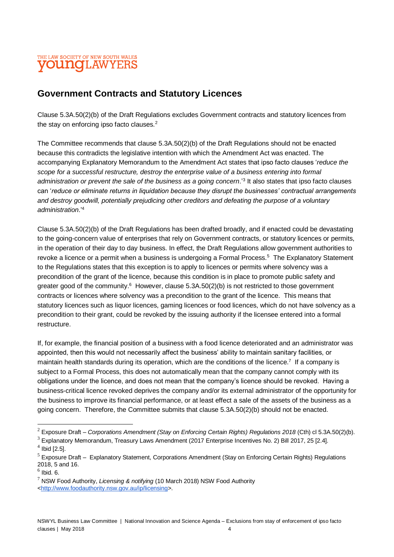#### THE LAW SOCIETY OF NEW SOUTH WALES youngLAWYERS

## **Government Contracts and Statutory Licences**

Clause 5.3A.50(2)(b) of the Draft Regulations excludes Government contracts and statutory licences from the stay on enforcing ipso facto clauses.<sup>2</sup>

The Committee recommends that clause 5.3A.50(2)(b) of the Draft Regulations should not be enacted because this contradicts the legislative intention with which the Amendment Act was enacted. The accompanying Explanatory Memorandum to the Amendment Act states that ipso facto clauses '*reduce the scope for a successful restructure, destroy the enterprise value of a business entering into formal administration or prevent the sale of the business as a going concern*.'<sup>3</sup> It also states that ipso facto clauses can '*reduce or eliminate returns in liquidation because they disrupt the businesses' contractual arrangements and destroy goodwill, potentially prejudicing other creditors and defeating the purpose of a voluntary administration*.'<sup>4</sup>

Clause 5.3A.50(2)(b) of the Draft Regulations has been drafted broadly, and if enacted could be devastating to the going-concern value of enterprises that rely on Government contracts, or statutory licences or permits, in the operation of their day to day business. In effect, the Draft Regulations allow government authorities to revoke a licence or a permit when a business is undergoing a Formal Process.<sup>5</sup> The Explanatory Statement to the Regulations states that this exception is to apply to licences or permits where solvency was a precondition of the grant of the licence, because this condition is in place to promote public safety and greater good of the community.<sup>6</sup> However, clause 5.3A.50(2)(b) is not restricted to those government contracts or licences where solvency was a precondition to the grant of the licence. This means that statutory licences such as liquor licences, gaming licences or food licences, which do not have solvency as a precondition to their grant, could be revoked by the issuing authority if the licensee entered into a formal restructure.

If, for example, the financial position of a business with a food licence deteriorated and an administrator was appointed, then this would not necessarily affect the business' ability to maintain sanitary facilities, or maintain health standards during its operation, which are the conditions of the licence.<sup>7</sup> If a company is subject to a Formal Process, this does not automatically mean that the company cannot comply with its obligations under the licence, and does not mean that the company's licence should be revoked. Having a business-critical licence revoked deprives the company and/or its external administrator of the opportunity for the business to improve its financial performance, or at least effect a sale of the assets of the business as a going concern. Therefore, the Committee submits that clause 5.3A.50(2)(b) should not be enacted.

l

<sup>&</sup>lt;sup>2</sup> Exposure Draft – *Corporations Amendment (Stay on Enforcing Certain Rights) Regulations 2018* (Cth) cl 5.3A.50(2)(b).

 $3$  Explanatory Memorandum, Treasury Laws Amendment (2017 Enterprise Incentives No. 2) Bill 2017, 25 [2.4].

 $4$  Ibid [2.5].

 $<sup>5</sup>$  Exposure Draft – Explanatory Statement, Corporations Amendment (Stay on Enforcing Certain Rights) Regulations</sup> 2018, 5 and 16.

 $<sup>6</sup>$  Ibid. 6.</sup>

<sup>7</sup> NSW Food Authority, *Licensing & notifying* (10 March 2018) NSW Food Authority [<http://www.foodauthority.nsw.gov.au/ip/licensing>](http://www.foodauthority.nsw.gov.au/ip/licensing).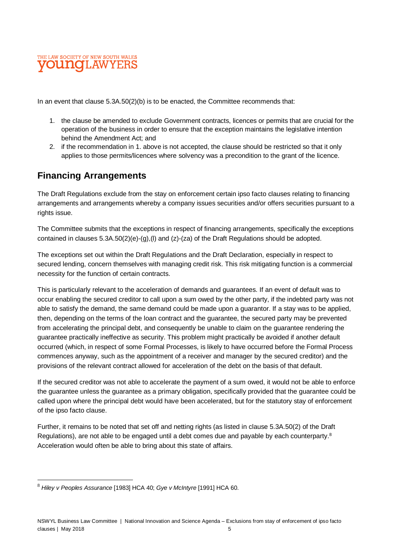

In an event that clause  $5.3A.50(2)(b)$  is to be enacted, the Committee recommends that:

- 1. the clause be amended to exclude Government contracts, licences or permits that are crucial for the operation of the business in order to ensure that the exception maintains the legislative intention behind the Amendment Act; and
- 2. if the recommendation in 1. above is not accepted, the clause should be restricted so that it only applies to those permits/licences where solvency was a precondition to the grant of the licence.

# **Financing Arrangements**

The Draft Regulations exclude from the stay on enforcement certain ipso facto clauses relating to financing arrangements and arrangements whereby a company issues securities and/or offers securities pursuant to a rights issue.

The Committee submits that the exceptions in respect of financing arrangements, specifically the exceptions contained in clauses 5.3A.50(2)(e)-(g),(l) and (z)-(za) of the Draft Regulations should be adopted.

The exceptions set out within the Draft Regulations and the Draft Declaration, especially in respect to secured lending, concern themselves with managing credit risk. This risk mitigating function is a commercial necessity for the function of certain contracts.

This is particularly relevant to the acceleration of demands and guarantees. If an event of default was to occur enabling the secured creditor to call upon a sum owed by the other party, if the indebted party was not able to satisfy the demand, the same demand could be made upon a guarantor. If a stay was to be applied, then, depending on the terms of the loan contract and the guarantee, the secured party may be prevented from accelerating the principal debt, and consequently be unable to claim on the guarantee rendering the guarantee practically ineffective as security. This problem might practically be avoided if another default occurred (which, in respect of some Formal Processes, is likely to have occurred before the Formal Process commences anyway, such as the appointment of a receiver and manager by the secured creditor) and the provisions of the relevant contract allowed for acceleration of the debt on the basis of that default.

If the secured creditor was not able to accelerate the payment of a sum owed, it would not be able to enforce the guarantee unless the guarantee as a primary obligation, specifically provided that the guarantee could be called upon where the principal debt would have been accelerated, but for the statutory stay of enforcement of the ipso facto clause.

Further, it remains to be noted that set off and netting rights (as listed in clause 5.3A.50(2) of the Draft Regulations), are not able to be engaged until a debt comes due and payable by each counterparty.<sup>8</sup> Acceleration would often be able to bring about this state of affairs.

l

<sup>8</sup> *Hiley v Peoples Assurance* [1983] HCA 40; *Gye v McIntyre* [1991] HCA 60.